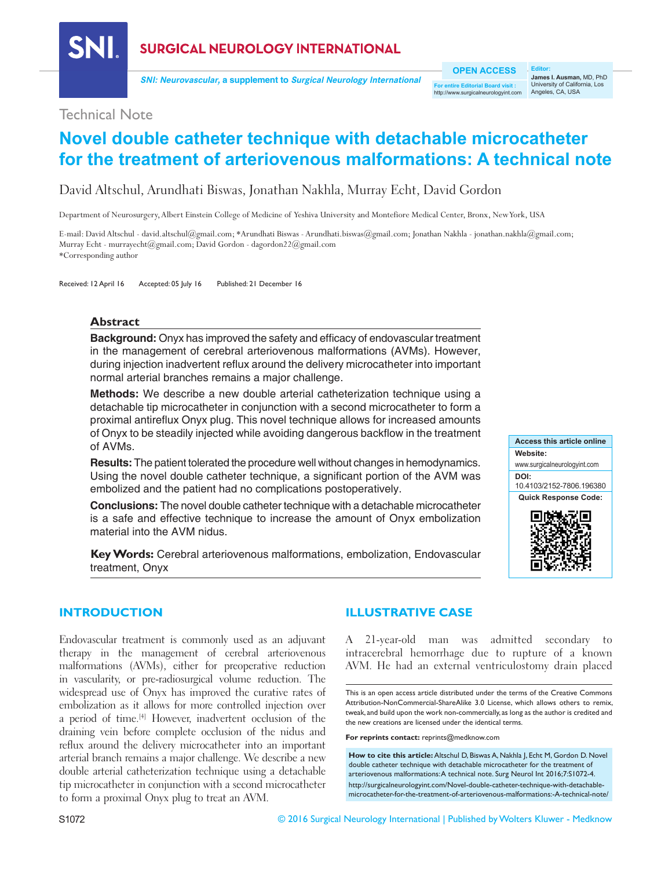

**SURGICAL NEUROLOGY INTERNATIONAL** 

**SNI: Neurovascular, a supplement to Surgical Neurology International**

**OPEN ACCESS**

**For entire Editorial Board visit :** http://www.surgicalneurologyint.com

**Editor: James I. Ausman,** MD, PhD University of California, Los Angeles, CA, USA

# Technical Note

# **Novel double catheter technique with detachable microcatheter for the treatment of arteriovenous malformations: A technical note**

David Altschul, Arundhati Biswas, Jonathan Nakhla, Murray Echt, David Gordon

Department of Neurosurgery, Albert Einstein College of Medicine of Yeshiva University and Montefiore Medical Center, Bronx, New York, USA

E-mail: David Altschul - david.altschul@gmail.com; \*Arundhati Biswas - Arundhati.biswas@gmail.com; Jonathan Nakhla - jonathan.nakhla@gmail.com; Murray Echt - murrayecht@gmail.com; David Gordon - dagordon22@gmail.com \*Corresponding author

Received: 12 April 16 Accepted: 05 July 16 Published: 21 December 16

# **Abstract**

**Background:** Onyx has improved the safety and efficacy of endovascular treatment in the management of cerebral arteriovenous malformations (AVMs). However, during injection inadvertent reflux around the delivery microcatheter into important normal arterial branches remains a major challenge.

**Methods:** We describe a new double arterial catheterization technique using a detachable tip microcatheter in conjunction with a second microcatheter to form a proximal antireflux Onyx plug. This novel technique allows for increased amounts of Onyx to be steadily injected while avoiding dangerous backflow in the treatment of AVMs.

**Results:** The patient tolerated the procedure well without changes in hemodynamics. Using the novel double catheter technique, a significant portion of the AVM was embolized and the patient had no complications postoperatively.

**Conclusions:** The novel double catheter technique with a detachable microcatheter is a safe and effective technique to increase the amount of Onyx embolization material into the AVM nidus.

**Key Words:** Cerebral arteriovenous malformations, embolization, Endovascular treatment, Onyx



# **INTRODUCTION**

Endovascular treatment is commonly used as an adjuvant therapy in the management of cerebral arteriovenous malformations (AVMs), either for preoperative reduction in vascularity, or pre-radiosurgical volume reduction. The widespread use of Onyx has improved the curative rates of embolization as it allows for more controlled injection over a period of time.<sup>[4]</sup> However, inadvertent occlusion of the draining vein before complete occlusion of the nidus and reflux around the delivery microcatheter into an important arterial branch remains a major challenge. We describe a new double arterial catheterization technique using a detachable tip microcatheter in conjunction with a second microcatheter to form a proximal Onyx plug to treat an AVM.

# **ILLUSTRATIVE CASE**

A 21‑year‑old man was admitted secondary to intracerebral hemorrhage due to rupture of a known AVM. He had an external ventriculostomy drain placed

This is an open access article distributed under the terms of the Creative Commons Attribution-NonCommercial-ShareAlike 3.0 License, which allows others to remix, tweak, and build upon the work non-commercially, as long as the author is credited and the new creations are licensed under the identical terms.

**For reprints contact:** reprints@medknow.com

**How to cite this article:** Altschul D, Biswas A, Nakhla J, Echt M, Gordon D. Novel double catheter technique with detachable microcatheter for the treatment of arteriovenous malformations: A technical note. Surg Neurol Int 2016;7:S1072-4. http://surgicalneurologyint.com/Novel-double-catheter-technique-with-detachablemicrocatheter-for-the-treatment-of-arteriovenous-malformations:-A-technical-note/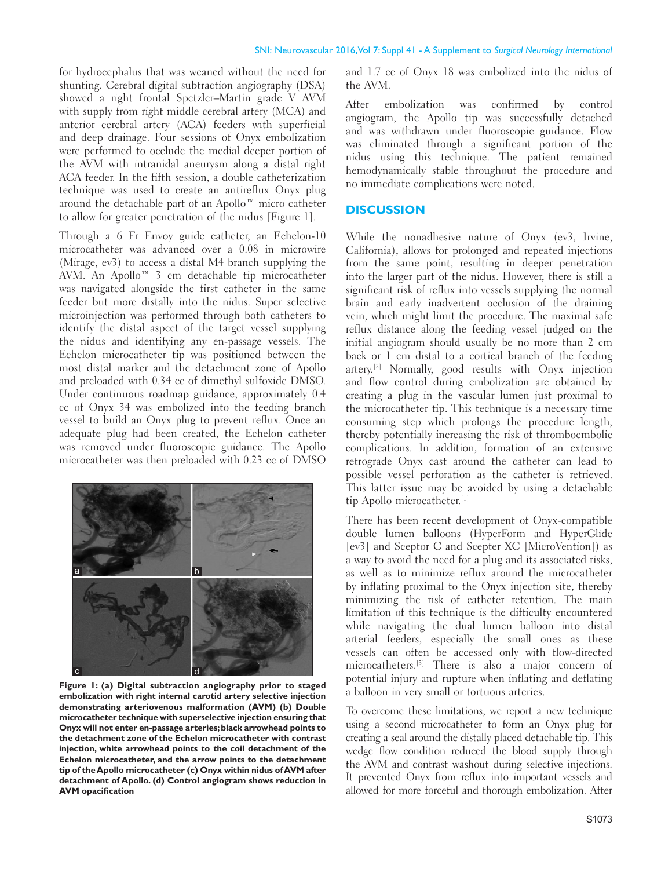for hydrocephalus that was weaned without the need for shunting. Cerebral digital subtraction angiography (DSA) showed a right frontal Spetzler–Martin grade V AVM with supply from right middle cerebral artery (MCA) and anterior cerebral artery (ACA) feeders with superficial and deep drainage. Four sessions of Onyx embolization were performed to occlude the medial deeper portion of the AVM with intranidal aneurysm along a distal right ACA feeder. In the fifth session, a double catheterization technique was used to create an antireflux Onyx plug around the detachable part of an Apollo™ micro catheter to allow for greater penetration of the nidus [Figure 1].

Through a 6 Fr Envoy guide catheter, an Echelon-10 microcatheter was advanced over a 0.08 in microwire (Mirage, ev3) to access a distal M4 branch supplying the AVM. An Apollo™ 3 cm detachable tip microcatheter was navigated alongside the first catheter in the same feeder but more distally into the nidus. Super selective microinjection was performed through both catheters to identify the distal aspect of the target vessel supplying the nidus and identifying any en-passage vessels. The Echelon microcatheter tip was positioned between the most distal marker and the detachment zone of Apollo and preloaded with 0.34 cc of dimethyl sulfoxide DMSO. Under continuous roadmap guidance, approximately 0.4 cc of Onyx 34 was embolized into the feeding branch vessel to build an Onyx plug to prevent reflux. Once an adequate plug had been created, the Echelon catheter was removed under fluoroscopic guidance. The Apollo microcatheter was then preloaded with 0.23 cc of DMSO



**Figure 1: (a) Digital subtraction angiography prior to staged embolization with right internal carotid artery selective injection demonstrating arteriovenous malformation (AVM) (b) Double microcatheter technique with superselective injection ensuring that Onyx will not enter en-passage arteries; black arrowhead points to the detachment zone of the Echelon microcatheter with contrast injection, white arrowhead points to the coil detachment of the Echelon microcatheter, and the arrow points to the detachment tip of the Apollo microcatheter (c) Onyx within nidus of AVM after detachment of Apollo. (d) Control angiogram shows reduction in AVM opacification**

and 1.7 cc of Onyx 18 was embolized into the nidus of the AVM.

After embolization was confirmed by control angiogram, the Apollo tip was successfully detached and was withdrawn under fluoroscopic guidance. Flow was eliminated through a significant portion of the nidus using this technique. The patient remained hemodynamically stable throughout the procedure and no immediate complications were noted.

# **DISCUSSION**

While the nonadhesive nature of Onyx (ev3, Irvine, California), allows for prolonged and repeated injections from the same point, resulting in deeper penetration into the larger part of the nidus. However, there is still a significant risk of reflux into vessels supplying the normal brain and early inadvertent occlusion of the draining vein, which might limit the procedure. The maximal safe reflux distance along the feeding vessel judged on the initial angiogram should usually be no more than 2 cm back or 1 cm distal to a cortical branch of the feeding artery.[2] Normally, good results with Onyx injection and flow control during embolization are obtained by creating a plug in the vascular lumen just proximal to the microcatheter tip. This technique is a necessary time consuming step which prolongs the procedure length, thereby potentially increasing the risk of thromboembolic complications. In addition, formation of an extensive retrograde Onyx cast around the catheter can lead to possible vessel perforation as the catheter is retrieved. This latter issue may be avoided by using a detachable tip Apollo microcatheter.[1]

There has been recent development of Onyx‑compatible double lumen balloons (HyperForm and HyperGlide [ev3] and Sceptor C and Scepter XC [MicroVention]) as a way to avoid the need for a plug and its associated risks, as well as to minimize reflux around the microcatheter by inflating proximal to the Onyx injection site, thereby minimizing the risk of catheter retention. The main limitation of this technique is the difficulty encountered while navigating the dual lumen balloon into distal arterial feeders, especially the small ones as these vessels can often be accessed only with flow‑directed microcatheters.[3] There is also a major concern of potential injury and rupture when inflating and deflating a balloon in very small or tortuous arteries.

To overcome these limitations, we report a new technique using a second microcatheter to form an Onyx plug for creating a seal around the distally placed detachable tip. This wedge flow condition reduced the blood supply through the AVM and contrast washout during selective injections. It prevented Onyx from reflux into important vessels and allowed for more forceful and thorough embolization. After